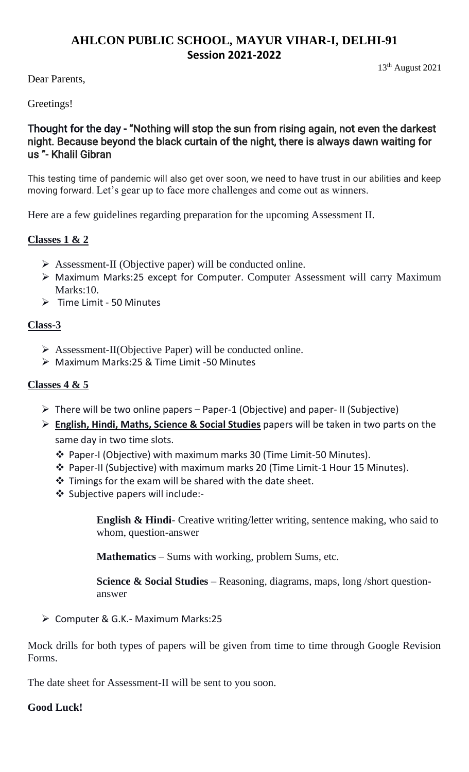## **AHLCON PUBLIC SCHOOL, MAYUR VIHAR-I, DELHI-91 Session 2021-2022**

13th August 2021

Dear Parents,

Greetings!

## Thought for the day - "Nothing will stop the sun from rising again, not even the darkest night. Because beyond the black curtain of the night, there is always dawn waiting for us "- Khalil Gibran

This testing time of pandemic will also get over soon, we need to have trust in our abilities and keep moving forward. Let's gear up to face more challenges and come out as winners.

Here are a few guidelines regarding preparation for the upcoming Assessment II.

## **Classes 1 & 2**

- ➢ Assessment-II (Objective paper) will be conducted online.
- ➢ Maximum Marks:25 except for Computer. Computer Assessment will carry Maximum Marks:10.
- ➢ Time Limit 50 Minutes

### **Class-3**

- ➢ Assessment-II(Objective Paper) will be conducted online.
- ➢ Maximum Marks:25 & Time Limit -50 Minutes

#### **Classes 4 & 5**

- $\triangleright$  There will be two online papers Paper-1 (Objective) and paper-II (Subjective)
- ➢ **English, Hindi, Maths, Science & Social Studies** papers will be taken in two parts on the same day in two time slots.
	- ❖ Paper-I (Objective) with maximum marks 30 (Time Limit-50 Minutes).
	- ❖ Paper-II (Subjective) with maximum marks 20 (Time Limit-1 Hour 15 Minutes).
	- ❖ Timings for the exam will be shared with the date sheet.
	- ❖ Subjective papers will include:-

**English & Hindi**- Creative writing/letter writing, sentence making, who said to whom, question-answer

**Mathematics** – Sums with working, problem Sums, etc.

**Science & Social Studies** – Reasoning, diagrams, maps, long /short questionanswer

➢ Computer & G.K.- Maximum Marks:25

Mock drills for both types of papers will be given from time to time through Google Revision Forms.

The date sheet for Assessment-II will be sent to you soon.

#### **Good Luck!**